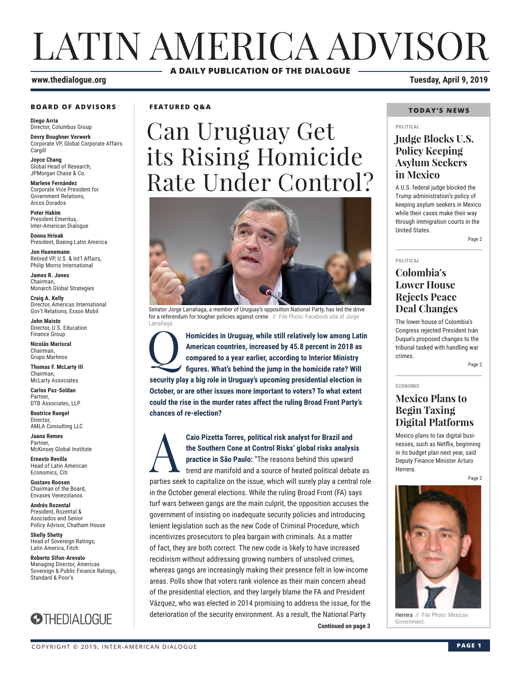## LATIN AMERICA ADVISOR **A DAILY PUBLICATION OF THE DIALOGUE**

#### **BOARD OF ADVISORS**

**Diego Arria** Director, Columbus Group

**Devry Boughner Vorwerk** Corporate VP, Global Corporate Affairs Cargill

**Joyce Chang** Global Head of Research, JPMorgan Chase & Co.

**Marlene Fernández** Corporate Vice President for Government Relations, Arcos Dorados

**Peter Hakim** President Emeritus, Inter-American Dialogue

**Donna Hrinak** President, Boeing Latin America

**Jon Huenemann** Retired VP, U.S. & Int'l Affairs, Philip Morris International

**James R. Jones** Chairman, Monarch Global Strategies

**Craig A. Kelly** Director, Americas International Gov't Relations, Exxon Mobil

**John Maisto** Director, U.S. Education Finance Group

**Nicolás Mariscal** Chairman, Grupo Marhnos

**Thomas F. McLarty III** Chairman, McLarty Associates

**Carlos Paz-Soldan Partner** DTB
Associates
11P

**Beatrice Rangel**  Director, AMLA Consulting LLC

**Jaana Remes** Partner, McKinsey Global Institute

**Ernesto Revilla**  Head of Latin American Economics, Citi

**Gustavo Roosen** Chairman of the Board, Envases Venezolanos

**Andrés Rozental**  President, Rozental & Asociados and Senior Policy Advisor, Chatham House

**Shelly Shetty** Head of Sovereign Ratings, Latin America, Fitch

**Roberto Sifon-Arevalo** Managing Director, Americas Sovereign & Public Finance Ratings, Standard & Poor's



**FEATURED Q&A**

# Can Uruguay Get its Rising Homicide Rate Under Control?



Senator Jorge Larrañaga, a member of Uruguay's opposition National Party, has led the drive for a referendum for tougher policies against crime. // File Photo: Facebook site of Jorge Larrañaga.

Homicides in Uruguay, while still relatively low among Latin<br>American countries, increased by 45.8 percent in 2018 as<br>compared to a year earlier, according to Interior Ministry<br>figures. What's behind the jump in the homici **American countries, increased by 45.8 percent in 2018 as compared to a year earlier, according to Interior Ministry figures. What's behind the jump in the homicide rate? Will security play a big role in Uruguay's upcoming presidential election in October, or are other issues more important to voters? To what extent could the rise in the murder rates affect the ruling Broad Front Party's chances of re-election?**

**Continued on page 3 Continued on page 3** Caio Pizetta Torres, political risk analyst for Brazil and<br>the Southern Cone at Control Risks' global risks analys<br>practice in São Paulo: "The reasons behind this upward<br>trend are manifold and a source of heated political **the Southern Cone at Control Risks' global risks analysis practice in São Paulo:** "The reasons behind this upward trend are manifold and a source of heated political debate as parties seek to capitalize on the issue, which will surely play a central role in the October general elections. While the ruling Broad Front (FA) says turf wars between gangs are the main culprit, the opposition accuses the government of insisting on inadequate security policies and introducing lenient legislation such as the new Code of Criminal Procedure, which incentivizes prosecutors to plea bargain with criminals. As a matter of fact, they are both correct. The new code is likely to have increased recidivism without addressing growing numbers of unsolved crimes, whereas gangs are increasingly making their presence felt in low-income areas. Polls show that voters rank violence as their main concern ahead of the presidential election, and they largely blame the FA and President Vázquez, who was elected in 2014 promising to address the issue, for the deterioration of the security environment. As a result, the National Party

**www.thedialogue.org Tuesday, April 9, 2019**

#### **TODAY'S NEWS**

#### **POLITICAL**

### **Judge Blocks U.S. Policy Keeping Asylum Seekers in Mexico**

A U.S. federal judge blocked the Trump administration's policy of keeping asylum seekers in Mexico while their cases make their way through immigration courts in the United States.

Page 2

**POLITICAL**

**ECONOMIC**

### **Colombia's Lower House Rejects Peace Deal Changes**

The lower house of Colombia's Congress rejected President Iván Duque's proposed changes to the tribunal tasked with handling war crimes.

Page 2

### **Mexico Plans to Begin Taxing Digital Platforms**

Mexico plans to tax digital businesses, such as Netflix, beginning in its budget plan next year, said Deputy Finance Minister Arturo Herrera.

Page 2



Herrera // File Photo: Mexican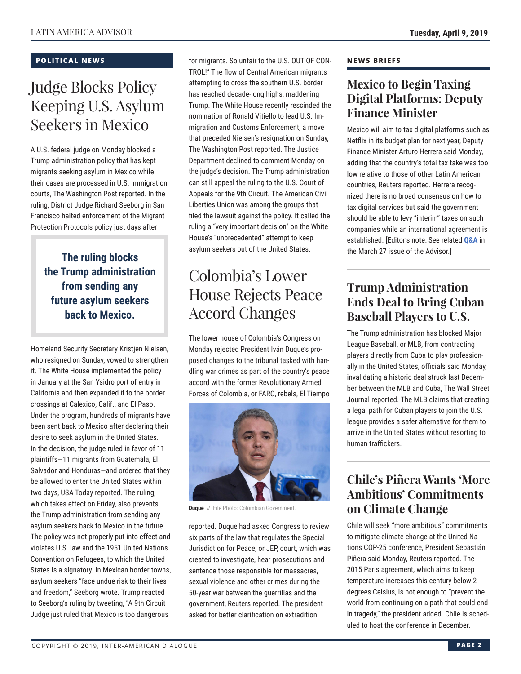### **POLITICAL NEWS**

### Judge Blocks Policy Keeping U.S. Asylum Seekers in Mexico

A U.S. federal judge on Monday blocked a Trump administration policy that has kept migrants seeking asylum in Mexico while their cases are processed in U.S. immigration courts, The Washington Post reported. In the ruling, District Judge Richard Seeborg in San Francisco halted enforcement of the Migrant Protection Protocols policy just days after

**The ruling blocks the Trump administration from sending any future asylum seekers back to Mexico.**

Homeland Security Secretary Kristjen Nielsen, who resigned on Sunday, vowed to strengthen it. The White House implemented the policy in January at the San Ysidro port of entry in California and then expanded it to the border crossings at Calexico, Calif., and El Paso. Under the program, hundreds of migrants have been sent back to Mexico after declaring their desire to seek asylum in the United States. In the decision, the judge ruled in favor of 11 plaintiffs—11 migrants from Guatemala, El Salvador and Honduras—and ordered that they be allowed to enter the United States within two days, USA Today reported. The ruling, which takes effect on Friday, also prevents the Trump administration from sending any asylum seekers back to Mexico in the future. The policy was not properly put into effect and violates U.S. law and the 1951 United Nations Convention on Refugees, to which the United States is a signatory. In Mexican border towns, asylum seekers "face undue risk to their lives and freedom," Seeborg wrote. Trump reacted to Seeborg's ruling by tweeting, "A 9th Circuit Judge just ruled that Mexico is too dangerous

for migrants. So unfair to the U.S. OUT OF CON-TROL!" The flow of Central American migrants attempting to cross the southern U.S. border has reached decade-long highs, maddening Trump. The White House recently rescinded the nomination of Ronald Vitiello to lead U.S. Immigration and Customs Enforcement, a move that preceded Nielsen's resignation on Sunday, The Washington Post reported. The Justice Department declined to comment Monday on the judge's decision. The Trump administration can still appeal the ruling to the U.S. Court of Appeals for the 9th Circuit. The American Civil Liberties Union was among the groups that filed the lawsuit against the policy. It called the ruling a "very important decision" on the White House's "unprecedented" attempt to keep asylum seekers out of the United States.

## Colombia's Lower House Rejects Peace Accord Changes

The lower house of Colombia's Congress on Monday rejected President Iván Duque's proposed changes to the tribunal tasked with handling war crimes as part of the country's peace accord with the former Revolutionary Armed Forces of Colombia, or FARC, rebels, El Tiempo



**Duque** // File Photo: Colombian Government.

reported. Duque had asked Congress to review six parts of the law that regulates the Special Jurisdiction for Peace, or JEP, court, which was created to investigate, hear prosecutions and sentence those responsible for massacres, sexual violence and other crimes during the 50-year war between the guerrillas and the government, Reuters reported. The president asked for better clarification on extradition

### **NEWS BRIEFS**

### **Mexico to Begin Taxing Digital Platforms: Deputy Finance Minister**

Mexico will aim to tax digital platforms such as Netflix in its budget plan for next year, Deputy Finance Minister Arturo Herrera said Monday, adding that the country's total tax take was too low relative to those of other Latin American countries, Reuters reported. Herrera recognized there is no broad consensus on how to tax digital services but said the government should be able to levy "interim" taxes on such companies while an international agr[eement is](http://www.thedialogue.org/wp-content/uploads/2019/03/LAA190327.pdf) established. [Editor's note: See related **Q&A** in the March 27 issue of the Advisor.]

### **Trump Administration Ends Deal to Bring Cuban Baseball Players to U.S.**

The Trump administration has blocked Major League Baseball, or MLB, from contracting players directly from Cuba to play professionally in the United States, officials said Monday, invalidating a historic deal struck last December between the MLB and Cuba, The Wall Street Journal reported. The MLB claims that creating a legal path for Cuban players to join the U.S. league provides a safer alternative for them to arrive in the United States without resorting to human traffickers.

### **Chile's Piñera Wants 'More Ambitious' Commitments on Climate Change**

Chile will seek "more ambitious" commitments to mitigate climate change at the United Nations COP-25 conference, President Sebastián Piñera said Monday, Reuters reported. The 2015 Paris agreement, which aims to keep temperature increases this century below 2 degrees Celsius, is not enough to "prevent the world from continuing on a path that could end in tragedy," the president added. Chile is scheduled to host the conference in December.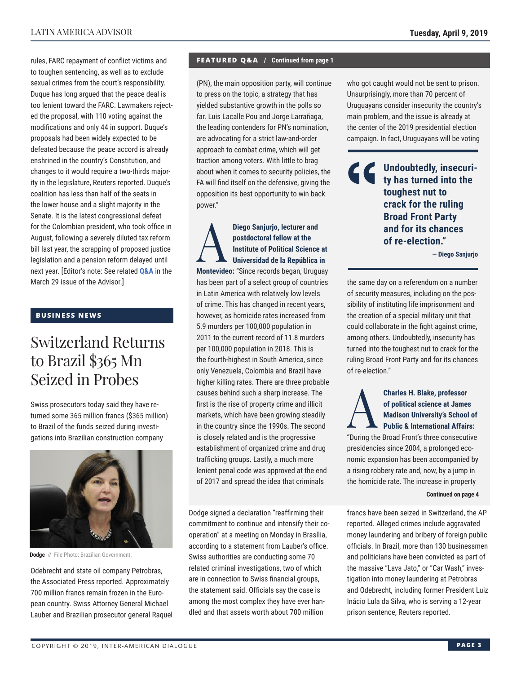rules, FARC repayment of conflict victims and to toughen sentencing, as well as to exclude sexual crimes from the court's responsibility. Duque has long argued that the peace deal is too lenient toward the FARC. Lawmakers rejected the proposal, with 110 voting against the modifications and only 44 in support. Duque's proposals had been widely expected to be defeated because the peace accord is already enshrined in the country's Constitution, and changes to it would require a two-thirds majority in the legislature, Reuters reported. Duque's coalition has less than half of the seats in the lower house and a slight majority in the Senate. It is the latest congressional defeat for the Colombian president, who took office in August, following a severely diluted tax reform bill last year, the scrapping of proposed justice legislation and a pension reform [delayed unti](http://www.thedialogue.org/wp-content/uploads/2019/03/LAA190329.pdf)l next year. [Editor's note: See related **Q&A** in the March 29 issue of the Advisor.]

### **BUSINESS NEWS**

### Switzerland Returns to Brazil \$365 Mn Seized in Probes

Swiss prosecutors today said they have returned some 365 million francs (\$365 million) to Brazil of the funds seized during investigations into Brazilian construction company



**Dodge** // File Photo: Brazilian Government.

Odebrecht and state oil company Petrobras, the Associated Press reported. Approximately 700 million francs remain frozen in the European country. Swiss Attorney General Michael Lauber and Brazilian prosecutor general Raquel

### **FEATURED Q&A / Continued from page 1**

(PN), the main opposition party, will continue to press on the topic, a strategy that has yielded substantive growth in the polls so far. Luis Lacalle Pou and Jorge Larrañaga, the leading contenders for PN's nomination, are advocating for a strict law-and-order approach to combat crime, which will get traction among voters. With little to brag about when it comes to security policies, the FA will find itself on the defensive, giving the opposition its best opportunity to win back power."

Diego Sanjurjo, lecturer and<br>
postdoctoral fellow at the<br>
Institute of Political Science<br>
Universidad de la República<br>
Marteuideo: "Sinee reeorde begen Hrug **postdoctoral fellow at the Institute of Political Science at Universidad de la República in Montevideo:** "Since records began, Uruguay has been part of a select group of countries in Latin America with relatively low levels of crime. This has changed in recent years, however, as homicide rates increased from 5.9 murders per 100,000 population in 2011 to the current record of 11.8 murders per 100,000 population in 2018. This is the fourth-highest in South America, since only Venezuela, Colombia and Brazil have higher killing rates. There are three probable causes behind such a sharp increase. The first is the rise of property crime and illicit markets, which have been growing steadily in the country since the 1990s. The second is closely related and is the progressive establishment of organized crime and drug trafficking groups. Lastly, a much more lenient penal code was approved at the end of 2017 and spread the idea that criminals

Dodge signed a declaration "reaffirming their commitment to continue and intensify their cooperation" at a meeting on Monday in Brasília, according to a statement from Lauber's office. Swiss authorities are conducting some 70 related criminal investigations, two of which are in connection to Swiss financial groups, the statement said. Officials say the case is among the most complex they have ever handled and that assets worth about 700 million

who got caught would not be sent to prison. Unsurprisingly, more than 70 percent of Uruguayans consider insecurity the country's main problem, and the issue is already at the center of the 2019 presidential election campaign. In fact, Uruguayans will be voting

> **Undoubtedly, insecurity has turned into the toughest nut to crack for the ruling Broad Front Party and for its chances of re-election."**

> > **— Diego Sanjurjo**

the same day on a referendum on a number of security measures, including on the possibility of instituting life imprisonment and the creation of a special military unit that could collaborate in the fight against crime, among others. Undoubtedly, insecurity has turned into the toughest nut to crack for the ruling Broad Front Party and for its chances of re-election."



### **Charles H. Blake, professor**<br>of political science at James<br>Madison University's School<br>Public & International Affair<br>"During the Broad Front's three conceput **of political science at James Madison University's School of Public & International Affairs:**

"During the Broad Front's three consecutive presidencies since 2004, a prolonged economic expansion has been accompanied by a rising robbery rate and, now, by a jump in the homicide rate. The increase in property

**Continued on page 4** 

francs have been seized in Switzerland, the AP reported. Alleged crimes include aggravated money laundering and bribery of foreign public officials. In Brazil, more than 130 businessmen and politicians have been convicted as part of the massive "Lava Jato," or "Car Wash," investigation into money laundering at Petrobras and Odebrecht, including former President Luiz Inácio Lula da Silva, who is serving a 12-year prison sentence, Reuters reported.